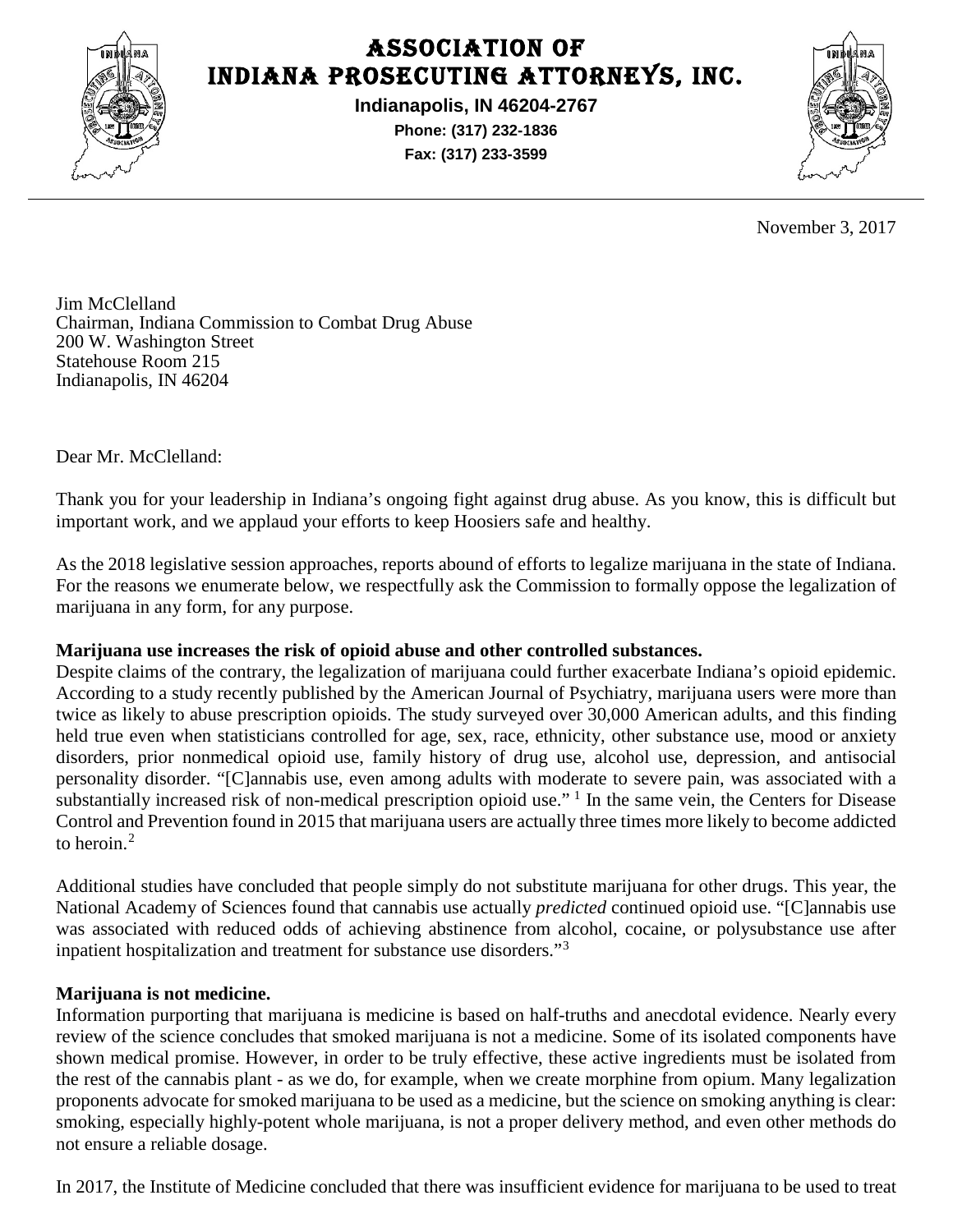

## Association of Indiana Prosecuting Attorneys, Inc.

**Indianapolis, IN 46204-2767 Phone: (317) 232-1836 Fax: (317) 233-3599**



November 3, 2017

Jim McClelland Chairman, Indiana Commission to Combat Drug Abuse 200 W. Washington Street Statehouse Room 215 Indianapolis, IN 46204

Dear Mr. McClelland:

Thank you for your leadership in Indiana's ongoing fight against drug abuse. As you know, this is difficult but important work, and we applaud your efforts to keep Hoosiers safe and healthy.

As the 2018 legislative session approaches, reports abound of efforts to legalize marijuana in the state of Indiana. For the reasons we enumerate below, we respectfully ask the Commission to formally oppose the legalization of marijuana in any form, for any purpose.

## **Marijuana use increases the risk of opioid abuse and other controlled substances.**

Despite claims of the contrary, the legalization of marijuana could further exacerbate Indiana's opioid epidemic. According to a study recently published by the American Journal of Psychiatry, marijuana users were more than twice as likely to abuse prescription opioids. The study surveyed over 30,000 American adults, and this finding held true even when statisticians controlled for age, sex, race, ethnicity, other substance use, mood or anxiety disorders, prior nonmedical opioid use, family history of drug use, alcohol use, depression, and antisocial personality disorder. "[C]annabis use, even among adults with moderate to severe pain, was associated with a substantially increased risk of non-medical prescription opioid use."<sup>[1](#page-2-0)</sup> In the same vein, the Centers for Disease Control and Prevention found in 2015 that marijuana users are actually three times more likely to become addicted to heroin  $2$ 

Additional studies have concluded that people simply do not substitute marijuana for other drugs. This year, the National Academy of Sciences found that cannabis use actually *predicted* continued opioid use. "[C]annabis use was associated with reduced odds of achieving abstinence from alcohol, cocaine, or polysubstance use after inpatient hospitalization and treatment for substance use disorders."[3](#page-2-2)

## **Marijuana is not medicine.**

Information purporting that marijuana is medicine is based on half-truths and anecdotal evidence. Nearly every review of the science concludes that smoked marijuana is not a medicine. Some of its isolated components have shown medical promise. However, in order to be truly effective, these active ingredients must be isolated from the rest of the cannabis plant - as we do, for example, when we create morphine from opium. Many legalization proponents advocate for smoked marijuana to be used as a medicine, but the science on smoking anything is clear: smoking, especially highly-potent whole marijuana, is not a proper delivery method, and even other methods do not ensure a reliable dosage.

In 2017, the Institute of Medicine concluded that there was insufficient evidence for marijuana to be used to treat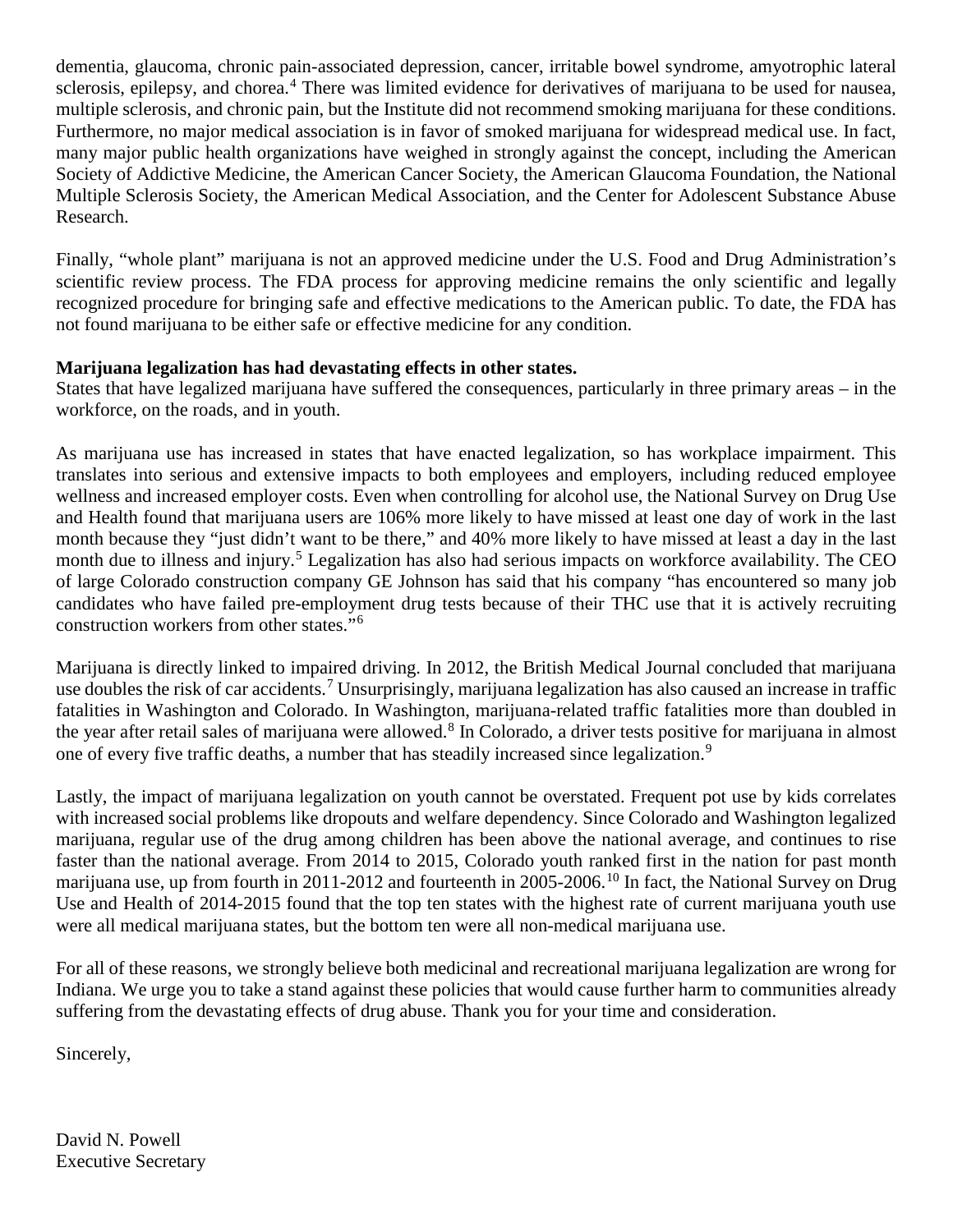dementia, glaucoma, chronic pain-associated depression, cancer, irritable bowel syndrome, amyotrophic lateral sclerosis, epilepsy, and chorea.<sup>[4](#page-2-3)</sup> There was limited evidence for derivatives of marijuana to be used for nausea, multiple sclerosis, and chronic pain, but the Institute did not recommend smoking marijuana for these conditions. Furthermore, no major medical association is in favor of smoked marijuana for widespread medical use. In fact, many major public health organizations have weighed in strongly against the concept, including the American Society of Addictive Medicine, the American Cancer Society, the American Glaucoma Foundation, the National Multiple Sclerosis Society, the American Medical Association, and the Center for Adolescent Substance Abuse Research.

Finally, "whole plant" marijuana is not an approved medicine under the U.S. Food and Drug Administration's scientific review process. The FDA process for approving medicine remains the only scientific and legally recognized procedure for bringing safe and effective medications to the American public. To date, the FDA has not found marijuana to be either safe or effective medicine for any condition.

## **Marijuana legalization has had devastating effects in other states.**

States that have legalized marijuana have suffered the consequences, particularly in three primary areas – in the workforce, on the roads, and in youth.

As marijuana use has increased in states that have enacted legalization, so has workplace impairment. This translates into serious and extensive impacts to both employees and employers, including reduced employee wellness and increased employer costs. Even when controlling for alcohol use, the National Survey on Drug Use and Health found that marijuana users are 106% more likely to have missed at least one day of work in the last month because they "just didn't want to be there," and 40% more likely to have missed at least a day in the last month due to illness and injury.<sup>[5](#page-2-4)</sup> Legalization has also had serious impacts on workforce availability. The CEO of large Colorado construction company GE Johnson has said that his company "has encountered so many job candidates who have failed pre-employment drug tests because of their THC use that it is actively recruiting construction workers from other states."[6](#page-2-5)

Marijuana is directly linked to impaired driving. In 2012, the British Medical Journal concluded that marijuana use doubles the risk of car accidents.<sup>[7](#page-2-6)</sup> Unsurprisingly, marijuana legalization has also caused an increase in traffic fatalities in Washington and Colorado. In Washington, marijuana-related traffic fatalities more than doubled in the year after retail sales of marijuana were allowed.<sup>[8](#page-2-7)</sup> In Colorado, a driver tests positive for marijuana in almost one of every five traffic deaths, a number that has steadily increased since legalization.<sup>[9](#page-2-8)</sup>

Lastly, the impact of marijuana legalization on youth cannot be overstated. Frequent pot use by kids correlates with increased social problems like dropouts and welfare dependency. Since Colorado and Washington legalized marijuana, regular use of the drug among children has been above the national average, and continues to rise faster than the national average. From 2014 to 2015, Colorado youth ranked first in the nation for past month marijuana use, up from fourth in 2011-2012 and fourteenth in 2005-2006.<sup>[10](#page-2-9)</sup> In fact, the National Survey on Drug Use and Health of 2014-2015 found that the top ten states with the highest rate of current marijuana youth use were all medical marijuana states, but the bottom ten were all non-medical marijuana use.

For all of these reasons, we strongly believe both medicinal and recreational marijuana legalization are wrong for Indiana. We urge you to take a stand against these policies that would cause further harm to communities already suffering from the devastating effects of drug abuse. Thank you for your time and consideration.

Sincerely,

David N. Powell Executive Secretary